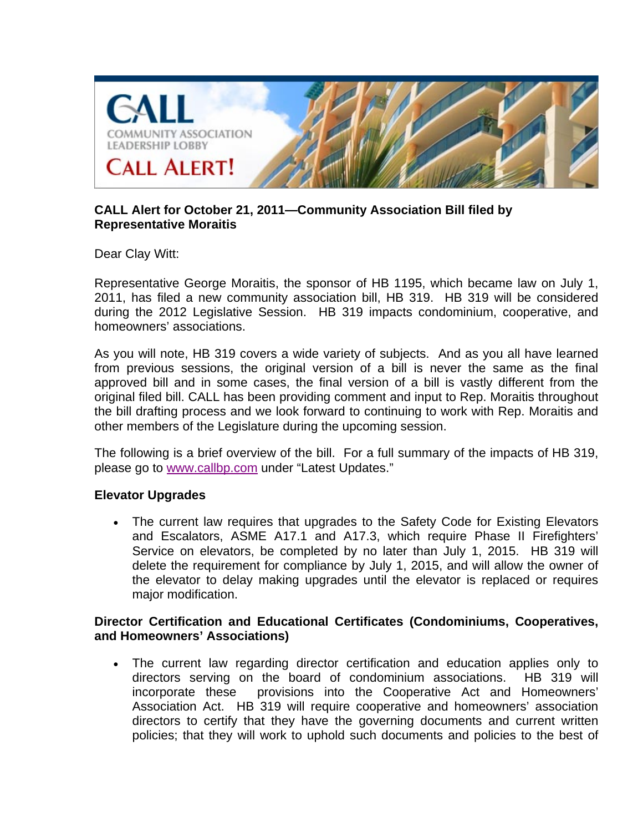

# **CALL Alert for October 21, 2011—Community Association Bill filed by Representative Moraitis**

Dear Clay Witt:

Representative George Moraitis, the sponsor of HB 1195, which became law on July 1, 2011, has filed a new community association bill, HB 319. HB 319 will be considered during the 2012 Legislative Session. HB 319 impacts condominium, cooperative, and homeowners' associations.

As you will note, HB 319 covers a wide variety of subjects. And as you all have learned from previous sessions, the original version of a bill is never the same as the final approved bill and in some cases, the final version of a bill is vastly different from the original filed bill. CALL has been providing comment and input to Rep. Moraitis throughout the bill drafting process and we look forward to continuing to work with Rep. Moraitis and other members of the Legislature during the upcoming session.

The following is a brief overview of the bill. For a full summary of the impacts of HB 319, please go to www.callbp.com under "Latest Updates."

### **Elevator Upgrades**

• The current law requires that upgrades to the Safety Code for Existing Elevators and Escalators, ASME A17.1 and A17.3, which require Phase II Firefighters' Service on elevators, be completed by no later than July 1, 2015. HB 319 will delete the requirement for compliance by July 1, 2015, and will allow the owner of the elevator to delay making upgrades until the elevator is replaced or requires major modification.

### **Director Certification and Educational Certificates (Condominiums, Cooperatives, and Homeowners' Associations)**

 The current law regarding director certification and education applies only to directors serving on the board of condominium associations. HB 319 will incorporate these provisions into the Cooperative Act and Homeowners' Association Act. HB 319 will require cooperative and homeowners' association directors to certify that they have the governing documents and current written policies; that they will work to uphold such documents and policies to the best of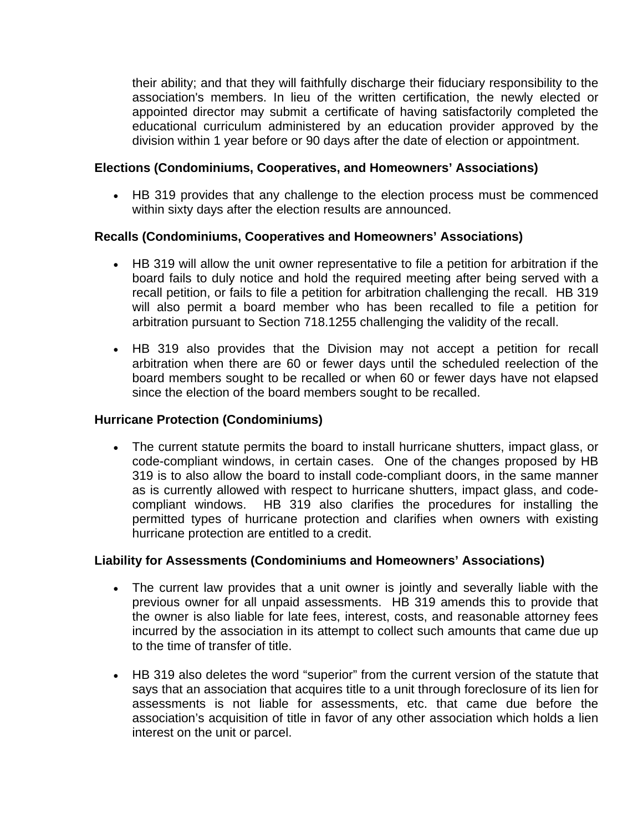their ability; and that they will faithfully discharge their fiduciary responsibility to the association's members. In lieu of the written certification, the newly elected or appointed director may submit a certificate of having satisfactorily completed the educational curriculum administered by an education provider approved by the division within 1 year before or 90 days after the date of election or appointment.

### **Elections (Condominiums, Cooperatives, and Homeowners' Associations)**

 HB 319 provides that any challenge to the election process must be commenced within sixty days after the election results are announced.

# **Recalls (Condominiums, Cooperatives and Homeowners' Associations)**

- HB 319 will allow the unit owner representative to file a petition for arbitration if the board fails to duly notice and hold the required meeting after being served with a recall petition, or fails to file a petition for arbitration challenging the recall. HB 319 will also permit a board member who has been recalled to file a petition for arbitration pursuant to Section 718.1255 challenging the validity of the recall.
- HB 319 also provides that the Division may not accept a petition for recall arbitration when there are 60 or fewer days until the scheduled reelection of the board members sought to be recalled or when 60 or fewer days have not elapsed since the election of the board members sought to be recalled.

#### **Hurricane Protection (Condominiums)**

 The current statute permits the board to install hurricane shutters, impact glass, or code-compliant windows, in certain cases. One of the changes proposed by HB 319 is to also allow the board to install code-compliant doors, in the same manner as is currently allowed with respect to hurricane shutters, impact glass, and codecompliant windows. HB 319 also clarifies the procedures for installing the permitted types of hurricane protection and clarifies when owners with existing hurricane protection are entitled to a credit.

### **Liability for Assessments (Condominiums and Homeowners' Associations)**

- The current law provides that a unit owner is jointly and severally liable with the previous owner for all unpaid assessments. HB 319 amends this to provide that the owner is also liable for late fees, interest, costs, and reasonable attorney fees incurred by the association in its attempt to collect such amounts that came due up to the time of transfer of title.
- HB 319 also deletes the word "superior" from the current version of the statute that says that an association that acquires title to a unit through foreclosure of its lien for assessments is not liable for assessments, etc. that came due before the association's acquisition of title in favor of any other association which holds a lien interest on the unit or parcel.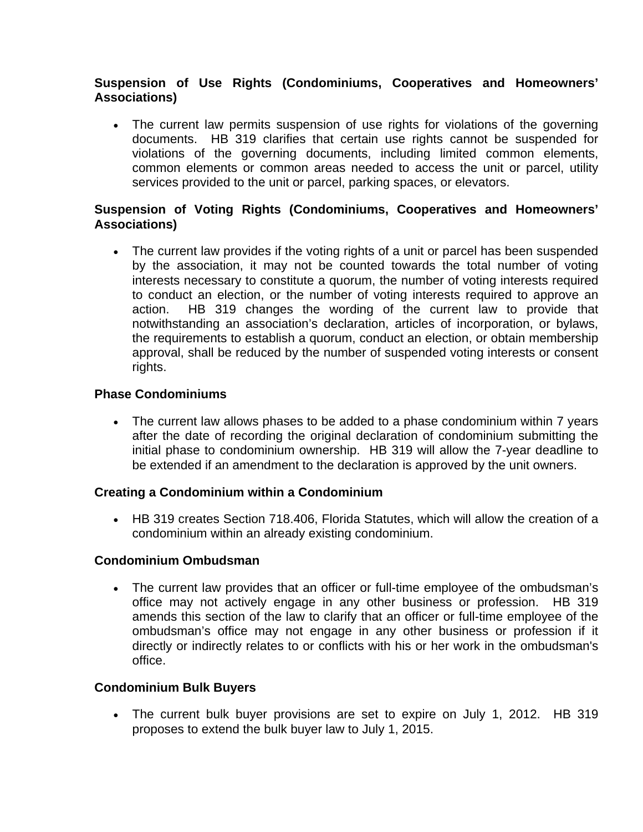## **Suspension of Use Rights (Condominiums, Cooperatives and Homeowners' Associations)**

 The current law permits suspension of use rights for violations of the governing documents. HB 319 clarifies that certain use rights cannot be suspended for violations of the governing documents, including limited common elements, common elements or common areas needed to access the unit or parcel, utility services provided to the unit or parcel, parking spaces, or elevators.

## **Suspension of Voting Rights (Condominiums, Cooperatives and Homeowners' Associations)**

• The current law provides if the voting rights of a unit or parcel has been suspended by the association, it may not be counted towards the total number of voting interests necessary to constitute a quorum, the number of voting interests required to conduct an election, or the number of voting interests required to approve an action. HB 319 changes the wording of the current law to provide that notwithstanding an association's declaration, articles of incorporation, or bylaws, the requirements to establish a quorum, conduct an election, or obtain membership approval, shall be reduced by the number of suspended voting interests or consent rights.

## **Phase Condominiums**

• The current law allows phases to be added to a phase condominium within 7 years after the date of recording the original declaration of condominium submitting the initial phase to condominium ownership. HB 319 will allow the 7-year deadline to be extended if an amendment to the declaration is approved by the unit owners.

### **Creating a Condominium within a Condominium**

 HB 319 creates Section 718.406, Florida Statutes, which will allow the creation of a condominium within an already existing condominium.

### **Condominium Ombudsman**

 The current law provides that an officer or full-time employee of the ombudsman's office may not actively engage in any other business or profession. HB 319 amends this section of the law to clarify that an officer or full-time employee of the ombudsman's office may not engage in any other business or profession if it directly or indirectly relates to or conflicts with his or her work in the ombudsman's office.

# **Condominium Bulk Buyers**

 The current bulk buyer provisions are set to expire on July 1, 2012. HB 319 proposes to extend the bulk buyer law to July 1, 2015.